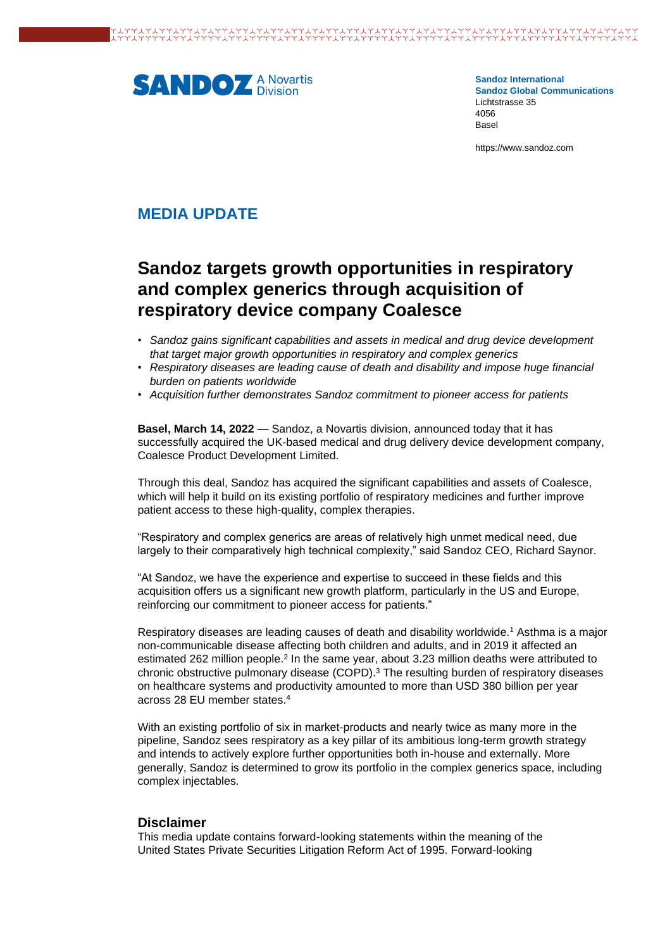

**Sandoz International Sandoz Global Communications** Lichtstrasse 35 4056 Basel

https://www.sandoz.com

## **MEDIA UPDATE**

# **Sandoz targets growth opportunities in respiratory and complex generics through acquisition of respiratory device company Coalesce**

- *Sandoz gains significant capabilities and assets in medical and drug device development that target major growth opportunities in respiratory and complex generics*
- *Respiratory diseases are leading cause of death and disability and impose huge financial burden on patients worldwide*
- *Acquisition further demonstrates Sandoz commitment to pioneer access for patients*

**Basel, March 14, 2022** — Sandoz, a Novartis division, announced today that it has successfully acquired the UK-based medical and drug delivery device development company, Coalesce Product Development Limited.

Through this deal, Sandoz has acquired the significant capabilities and assets of Coalesce, which will help it build on its existing portfolio of respiratory medicines and further improve patient access to these high-quality, complex therapies.

"Respiratory and complex generics are areas of relatively high unmet medical need, due largely to their comparatively high technical complexity," said Sandoz CEO, Richard Saynor.

"At Sandoz, we have the experience and expertise to succeed in these fields and this acquisition offers us a significant new growth platform, particularly in the US and Europe, reinforcing our commitment to pioneer access for patients."

Respiratory diseases are leading causes of death and disability worldwide. <sup>1</sup> Asthma is a major non-communicable disease affecting both children and adults, and in 2019 it affected an estimated 262 million people.<sup>2</sup> In the same year, about 3.23 million deaths were attributed to chronic obstructive pulmonary disease (COPD).<sup>3</sup> The resulting burden of respiratory diseases on healthcare systems and productivity amounted to more than USD 380 billion per year across 28 EU member states. 4

With an existing portfolio of six in market-products and nearly twice as many more in the pipeline, Sandoz sees respiratory as a key pillar of its ambitious long-term growth strategy and intends to actively explore further opportunities both in-house and externally. More generally, Sandoz is determined to grow its portfolio in the complex generics space, including complex injectables.

## **Disclaimer**

This media update contains forward-looking statements within the meaning of the United States Private Securities Litigation Reform Act of 1995. Forward-looking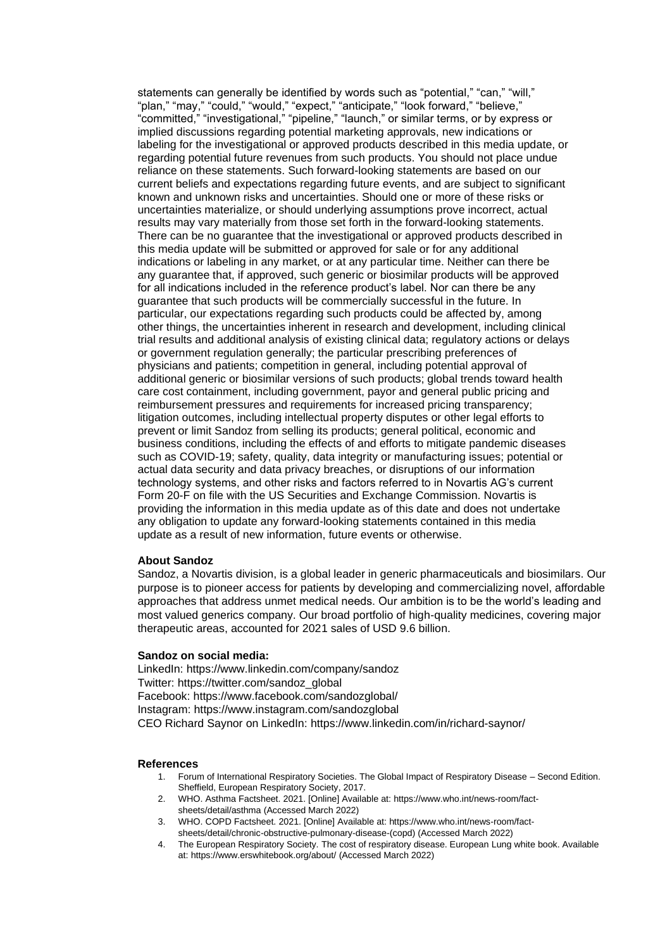statements can generally be identified by words such as "potential," "can," "will," "plan," "may," "could," "would," "expect," "anticipate," "look forward," "believe," "committed," "investigational," "pipeline," "launch," or similar terms, or by express or implied discussions regarding potential marketing approvals, new indications or labeling for the investigational or approved products described in this media update, or regarding potential future revenues from such products. You should not place undue reliance on these statements. Such forward-looking statements are based on our current beliefs and expectations regarding future events, and are subject to significant known and unknown risks and uncertainties. Should one or more of these risks or uncertainties materialize, or should underlying assumptions prove incorrect, actual results may vary materially from those set forth in the forward-looking statements. There can be no guarantee that the investigational or approved products described in this media update will be submitted or approved for sale or for any additional indications or labeling in any market, or at any particular time. Neither can there be any guarantee that, if approved, such generic or biosimilar products will be approved for all indications included in the reference product's label. Nor can there be any guarantee that such products will be commercially successful in the future. In particular, our expectations regarding such products could be affected by, among other things, the uncertainties inherent in research and development, including clinical trial results and additional analysis of existing clinical data; regulatory actions or delays or government regulation generally; the particular prescribing preferences of physicians and patients; competition in general, including potential approval of additional generic or biosimilar versions of such products; global trends toward health care cost containment, including government, payor and general public pricing and reimbursement pressures and requirements for increased pricing transparency; litigation outcomes, including intellectual property disputes or other legal efforts to prevent or limit Sandoz from selling its products; general political, economic and business conditions, including the effects of and efforts to mitigate pandemic diseases such as COVID-19; safety, quality, data integrity or manufacturing issues; potential or actual data security and data privacy breaches, or disruptions of our information technology systems, and other risks and factors referred to in Novartis AG's current Form 20-F on file with the US Securities and Exchange Commission. Novartis is providing the information in this media update as of this date and does not undertake any obligation to update any forward-looking statements contained in this media update as a result of new information, future events or otherwise.

#### **About Sandoz**

Sandoz, a Novartis division, is a global leader in generic pharmaceuticals and biosimilars. Our purpose is to pioneer access for patients by developing and commercializing novel, affordable approaches that address unmet medical needs. Our ambition is to be the world's leading and most valued generics company. Our broad portfolio of high-quality medicines, covering major therapeutic areas, accounted for 2021 sales of USD 9.6 billion.

#### **Sandoz on social media:**

LinkedIn:<https://www.linkedin.com/company/sandoz> Twitter: [https://twitter.com/sandoz\\_global](https://twitter.com/sandoz_global) Facebook:<https://www.facebook.com/sandozglobal/> Instagram:<https://www.instagram.com/sandozglobal> CEO Richard Saynor on LinkedIn:<https://www.linkedin.com/in/richard-saynor/>

#### **References**

- 1. Forum of International Respiratory Societies. The Global Impact of Respiratory Disease Second Edition. Sheffield, European Respiratory Society, 2017.
- 2. WHO. Asthma Factsheet. 2021. [Online] Available at: [https://www.who.int/news-room/fact](https://www.who.int/news-room/fact-sheets/detail/asthma)[sheets/detail/asthma](https://www.who.int/news-room/fact-sheets/detail/asthma) (Accessed March 2022)
- 3. WHO. COPD Factsheet. 2021. [Online] Available at: [https://www.who.int/news-room/fact](https://www.who.int/news-room/fact-sheets/detail/chronic-obstructive-pulmonary-disease-(copd))[sheets/detail/chronic-obstructive-pulmonary-disease-\(copd\)](https://www.who.int/news-room/fact-sheets/detail/chronic-obstructive-pulmonary-disease-(copd)) (Accessed March 2022)
- 4. The European Respiratory Society. The cost of respiratory disease. European Lung white book. Available at:<https://www.erswhitebook.org/about/> (Accessed March 2022)